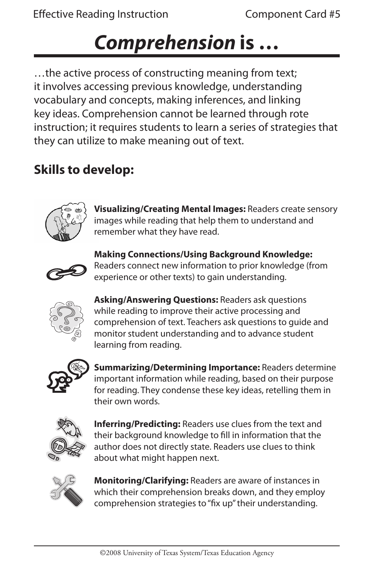## *Comprehension* **is …**

…the active process of constructing meaning from text; it involves accessing previous knowledge, understanding vocabulary and concepts, making inferences, and linking key ideas. Comprehension cannot be learned through rote instruction; it requires students to learn a series of strategies that they can utilize to make meaning out of text.

## **Skills to develop:**



**Visualizing/Creating Mental Images:** Readers create sensory images while reading that help them to understand and remember what they have read.



**Making Connections/Using Background Knowledge:**  Readers connect new information to prior knowledge (from experience or other texts) to gain understanding.



**Asking/Answering Questions:** Readers ask questions while reading to improve their active processing and comprehension of text. Teachers ask questions to guide and monitor student understanding and to advance student learning from reading.



**Summarizing/Determining Importance:** Readers determine important information while reading, based on their purpose for reading. They condense these key ideas, retelling them in their own words.



**Inferring/Predicting:** Readers use clues from the text and their background knowledge to fill in information that the author does not directly state. Readers use clues to think about what might happen next.



**Monitoring/Clarifying:** Readers are aware of instances in which their comprehension breaks down, and they employ comprehension strategies to "fix up" their understanding.